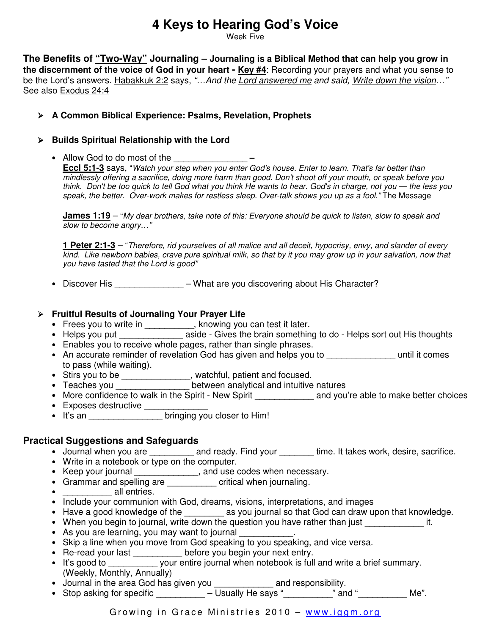# **4 Keys to Hearing God's Voice**

Week Five

**The Benefits of "Two-Way" Journaling – Journaling is a Biblical Method that can help you grow in the discernment of the voice of God in your heart - Key #4**: Recording your prayers and what you sense to be the Lord's answers. Habakkuk 2:2 says, "...And the Lord answered me and said, Write down the vision..." See also Exodus 24:4

#### **A Common Biblical Experience: Psalms, Revelation, Prophets**

#### **Builds Spiritual Relationship with the Lord**

• Allow God to do most of the

**Eccl 5:1-3** says, "Watch your step when you enter God's house. Enter to learn. That's far better than mindlessly offering a sacrifice, doing more harm than good. Don't shoot off your mouth, or speak before you think. Don't be too quick to tell God what you think He wants to hear. God's in charge, not you — the less you speak, the better. Over-work makes for restless sleep. Over-talk shows you up as a fool." The Message

**James 1:19** – "My dear brothers, take note of this: Everyone should be quick to listen, slow to speak and slow to become angry…"

 **1 Peter 2:1-3** – "Therefore, rid yourselves of all malice and all deceit, hypocrisy, envy, and slander of every kind. Like newborn babies, crave pure spiritual milk, so that by it you may grow up in your salvation, now that you have tasted that the Lord is good"

• Discover His \_\_\_\_\_\_\_\_\_\_\_\_\_\_\_ – What are you discovering about His Character?

#### **Fruitful Results of Journaling Your Prayer Life**

- Frees you to write in \_\_\_\_\_\_\_\_\_\_, knowing you can test it later.
- Helps you put \_\_\_\_\_\_\_\_\_\_\_\_\_\_\_\_\_ aside Gives the brain something to do Helps sort out His thoughts
- Enables you to receive whole pages, rather than single phrases.
- An accurate reminder of revelation God has given and helps you to **which is comes** to pass (while waiting).
- Stirs you to be \_\_\_\_\_\_\_\_\_\_\_\_\_, watchful, patient and focused.
- Teaches you \_\_\_\_\_\_\_\_\_\_\_\_\_\_\_\_ between analytical and intuitive natures
- More confidence to walk in the Spirit New Spirit **and you're able to make better choices** • Exposes destructive \_\_\_\_\_\_\_\_\_\_\_\_\_
- It's an \_\_\_\_\_\_\_\_\_\_\_\_\_\_\_\_\_\_ bringing you closer to Him!

### **Practical Suggestions and Safeguards**

- Journal when you are \_\_\_\_\_\_\_\_\_ and ready. Find your \_\_\_\_\_\_\_\_ time. It takes work, desire, sacrifice.
- Write in a notebook or type on the computer.
- Keep your journal \_\_\_\_\_\_\_\_\_\_\_\_\_, and use codes when necessary.
- Grammar and spelling are \_\_\_\_\_\_\_\_\_\_ critical when journaling.
- $\bullet$  \_\_\_\_\_\_\_\_\_\_\_\_\_ all entries.
- Include your communion with God, dreams, visions, interpretations, and images
- Have a good knowledge of the \_\_\_\_\_\_\_\_ as you journal so that God can draw upon that knowledge.
- When you begin to journal, write down the question you have rather than just electronical times.
- As you are learning, you may want to journal
- Skip a line when you move from God speaking to you speaking, and vice versa.
- Re-read your last \_\_\_\_\_\_\_\_\_\_\_ before you begin your next entry.
- It's good to \_\_\_\_\_\_\_\_\_\_\_ your entire journal when notebook is full and write a brief summary. (Weekly, Monthly, Annually)
- Journal in the area God has given you \_\_\_\_\_\_\_\_\_\_\_\_ and responsibility.
- Stop asking for specific  $\frac{1}{\sqrt{1-\frac{1}{n}}}\frac{1}{\sqrt{1-\frac{1}{n}}}\frac{1}{\sqrt{1-\frac{1}{n}}}\frac{1}{\sqrt{1-\frac{1}{n}}}\frac{1}{\sqrt{1-\frac{1}{n}}}\frac{1}{\sqrt{1-\frac{1}{n}}}\frac{1}{\sqrt{1-\frac{1}{n}}}\frac{1}{\sqrt{1-\frac{1}{n}}}\frac{1}{\sqrt{1-\frac{1}{n}}}\frac{1}{\sqrt{1-\frac{1}{n}}}\frac{1}{\sqrt{1-\frac{1}{n}}}\frac{1}{\sqrt{1-\frac{1}{n}}}\$